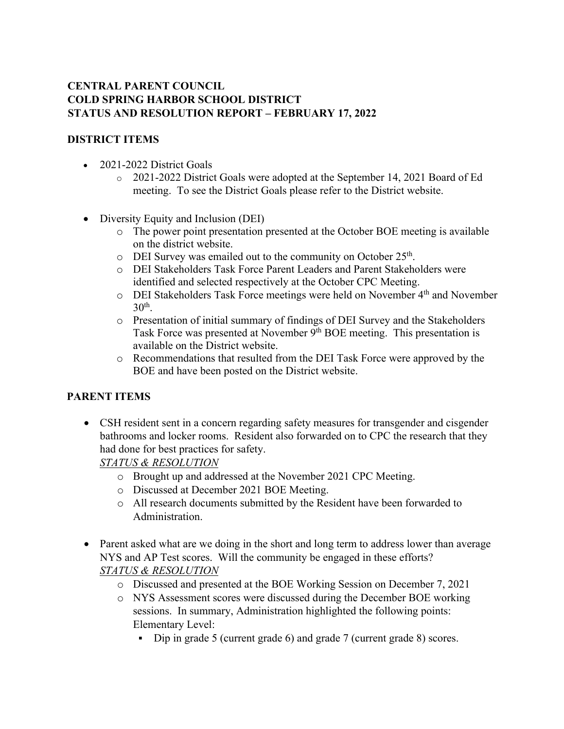#### **CENTRAL PARENT COUNCIL COLD SPRING HARBOR SCHOOL DISTRICT STATUS AND RESOLUTION REPORT – FEBRUARY 17, 2022**

#### **DISTRICT ITEMS**

- 2021-2022 District Goals
	- o 2021-2022 District Goals were adopted at the September 14, 2021 Board of Ed meeting. To see the District Goals please refer to the District website.
- Diversity Equity and Inclusion (DEI)
	- o The power point presentation presented at the October BOE meeting is available on the district website.
	- $\circ$  DEI Survey was emailed out to the community on October 25<sup>th</sup>.
	- o DEI Stakeholders Task Force Parent Leaders and Parent Stakeholders were identified and selected respectively at the October CPC Meeting.
	- o DEI Stakeholders Task Force meetings were held on November 4th and November  $30<sup>th</sup>$ .
	- o Presentation of initial summary of findings of DEI Survey and the Stakeholders Task Force was presented at November 9<sup>th</sup> BOE meeting. This presentation is available on the District website.
	- o Recommendations that resulted from the DEI Task Force were approved by the BOE and have been posted on the District website.

## **PARENT ITEMS**

• CSH resident sent in a concern regarding safety measures for transgender and cisgender bathrooms and locker rooms. Resident also forwarded on to CPC the research that they had done for best practices for safety.

*STATUS & RESOLUTION*

- o Brought up and addressed at the November 2021 CPC Meeting.
- o Discussed at December 2021 BOE Meeting.
- o All research documents submitted by the Resident have been forwarded to Administration.
- Parent asked what are we doing in the short and long term to address lower than average NYS and AP Test scores. Will the community be engaged in these efforts? *STATUS & RESOLUTION*
	- o Discussed and presented at the BOE Working Session on December 7, 2021
	- o NYS Assessment scores were discussed during the December BOE working sessions. In summary, Administration highlighted the following points: Elementary Level:
		- Dip in grade 5 (current grade 6) and grade 7 (current grade 8) scores.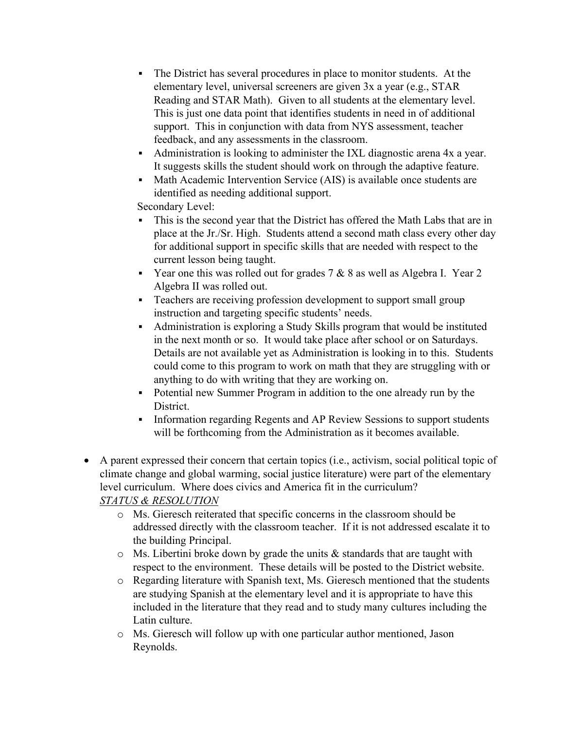- The District has several procedures in place to monitor students. At the elementary level, universal screeners are given 3x a year (e.g., STAR Reading and STAR Math). Given to all students at the elementary level. This is just one data point that identifies students in need in of additional support. This in conjunction with data from NYS assessment, teacher feedback, and any assessments in the classroom.
- Administration is looking to administer the IXL diagnostic arena 4x a year. It suggests skills the student should work on through the adaptive feature.
- Math Academic Intervention Service (AIS) is available once students are identified as needing additional support.

Secondary Level:

- This is the second year that the District has offered the Math Labs that are in place at the Jr./Sr. High. Students attend a second math class every other day for additional support in specific skills that are needed with respect to the current lesson being taught.
- **•** Year one this was rolled out for grades  $7 & 8 & 8$  as well as Algebra I. Year 2 Algebra II was rolled out.
- **•** Teachers are receiving profession development to support small group instruction and targeting specific students' needs.
- Administration is exploring a Study Skills program that would be instituted in the next month or so. It would take place after school or on Saturdays. Details are not available yet as Administration is looking in to this. Students could come to this program to work on math that they are struggling with or anything to do with writing that they are working on.
- Potential new Summer Program in addition to the one already run by the District.
- **Information regarding Regents and AP Review Sessions to support students** will be forthcoming from the Administration as it becomes available.
- A parent expressed their concern that certain topics (i.e., activism, social political topic of climate change and global warming, social justice literature) were part of the elementary level curriculum. Where does civics and America fit in the curriculum? *STATUS & RESOLUTION*
	- o Ms. Gieresch reiterated that specific concerns in the classroom should be addressed directly with the classroom teacher. If it is not addressed escalate it to the building Principal.
	- $\circ$  Ms. Libertini broke down by grade the units & standards that are taught with respect to the environment. These details will be posted to the District website.
	- o Regarding literature with Spanish text, Ms. Gieresch mentioned that the students are studying Spanish at the elementary level and it is appropriate to have this included in the literature that they read and to study many cultures including the Latin culture.
	- o Ms. Gieresch will follow up with one particular author mentioned, Jason Reynolds.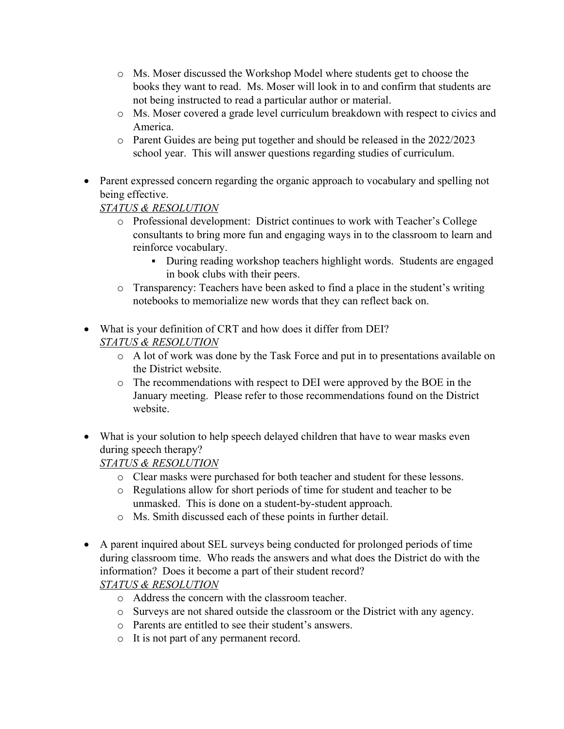- o Ms. Moser discussed the Workshop Model where students get to choose the books they want to read. Ms. Moser will look in to and confirm that students are not being instructed to read a particular author or material.
- o Ms. Moser covered a grade level curriculum breakdown with respect to civics and America.
- o Parent Guides are being put together and should be released in the 2022/2023 school year. This will answer questions regarding studies of curriculum.
- Parent expressed concern regarding the organic approach to vocabulary and spelling not being effective.

*STATUS & RESOLUTION*

- o Professional development: District continues to work with Teacher's College consultants to bring more fun and engaging ways in to the classroom to learn and reinforce vocabulary.
	- During reading workshop teachers highlight words. Students are engaged in book clubs with their peers.
- o Transparency: Teachers have been asked to find a place in the student's writing notebooks to memorialize new words that they can reflect back on.
- What is your definition of CRT and how does it differ from DEI? *STATUS & RESOLUTION*
	- o A lot of work was done by the Task Force and put in to presentations available on the District website.
	- o The recommendations with respect to DEI were approved by the BOE in the January meeting. Please refer to those recommendations found on the District website.
- What is your solution to help speech delayed children that have to wear masks even during speech therapy?

*STATUS & RESOLUTION*

- o Clear masks were purchased for both teacher and student for these lessons.
- o Regulations allow for short periods of time for student and teacher to be unmasked. This is done on a student-by-student approach.
- o Ms. Smith discussed each of these points in further detail.
- A parent inquired about SEL surveys being conducted for prolonged periods of time during classroom time. Who reads the answers and what does the District do with the information? Does it become a part of their student record?

*STATUS & RESOLUTION*

- o Address the concern with the classroom teacher.
- o Surveys are not shared outside the classroom or the District with any agency.
- o Parents are entitled to see their student's answers.
- o It is not part of any permanent record.